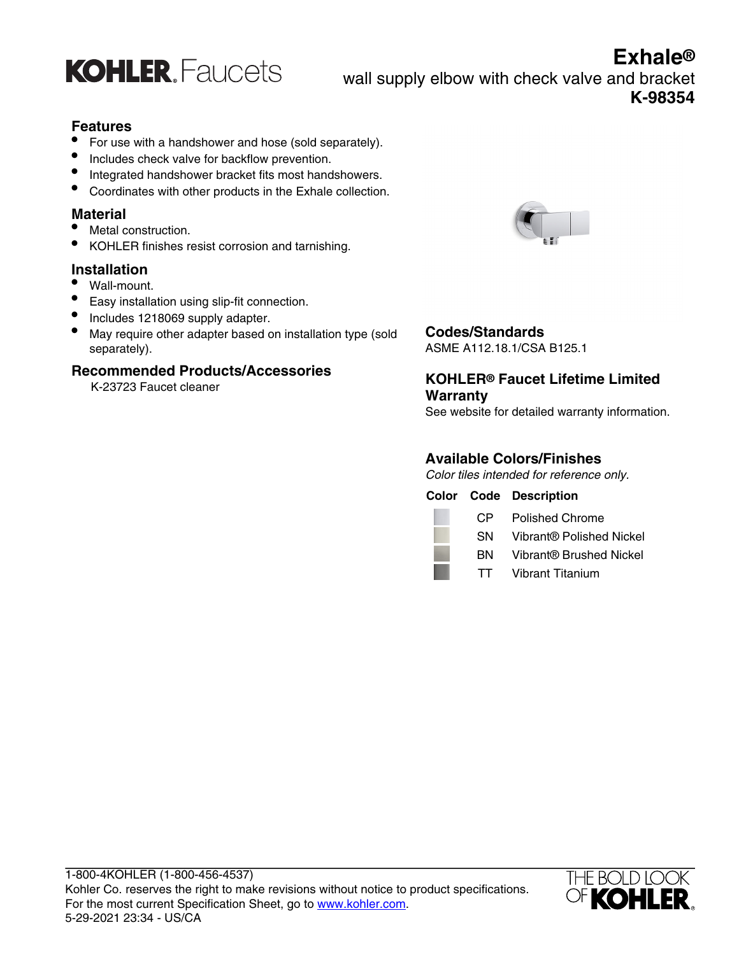

**Exhale®** wall supply elbow with check valve and bracket **K-98354**

### **Features**

- For use with a handshower and hose (sold separately).
- Includes check valve for backflow prevention.
- Integrated handshower bracket fits most handshowers.
- Coordinates with other products in the Exhale collection.

#### **Material**

- Metal construction.
- KOHLER finishes resist corrosion and tarnishing.

### **Installation**

- Wall-mount.
- Easy installation using slip-fit connection.
- Includes 1218069 supply adapter.
- May require other adapter based on installation type (sold separately).

#### **Recommended Products/Accessories**

K-23723 Faucet cleaner



## **Codes/Standards**

ASME A112.18.1/CSA B125.1

### **KOHLER® Faucet Lifetime Limited Warranty**

See website for detailed warranty information.

### **Available Colors/Finishes**

Color tiles intended for reference only.

|      | <b>Color Code Description</b> |
|------|-------------------------------|
| CP.  | Polished Chrome               |
| SN.  | Vibrant® Polished Nickel      |
| вN.  | Vibrant® Brushed Nickel       |
| TT . | Vibrant Titanium              |